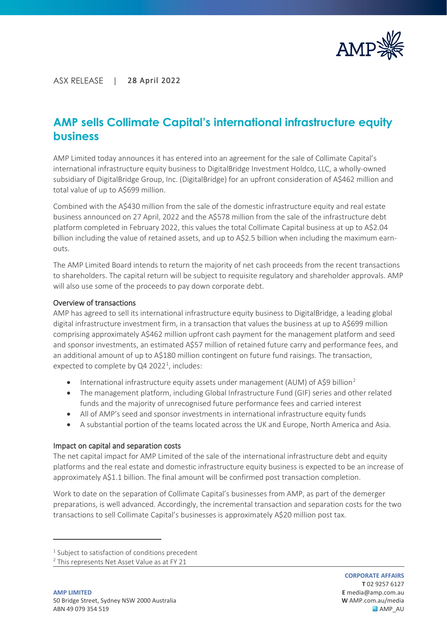

### ASX RELEASE | 28 April 2022

## **AMP sells Collimate Capital's international infrastructure equity business**

AMP Limited today announces it has entered into an agreement for the sale of Collimate Capital's international infrastructure equity business to DigitalBridge Investment Holdco, LLC, a wholly-owned subsidiary of DigitalBridge Group, Inc. (DigitalBridge) for an upfront consideration of A\$462 million and total value of up to A\$699 million.

Combined with the A\$430 million from the sale of the domestic infrastructure equity and real estate business announced on 27 April, 2022 and the A\$578 million from the sale of the infrastructure debt platform completed in February 2022, this values the total Collimate Capital business at up to A\$2.04 billion including the value of retained assets, and up to A\$2.5 billion when including the maximum earnouts.

The AMP Limited Board intends to return the majority of net cash proceeds from the recent transactions to shareholders. The capital return will be subject to requisite regulatory and shareholder approvals. AMP will also use some of the proceeds to pay down corporate debt.

### Overview of transactions

AMP has agreed to sell its international infrastructure equity business to DigitalBridge, a leading global digital infrastructure investment firm, in a transaction that values the business at up to A\$699 million comprising approximately A\$462 million upfront cash payment for the management platform and seed and sponsor investments, an estimated A\$57 million of retained future carry and performance fees, and an additional amount of up to A\$180 million contingent on future fund raisings. The transaction, expected to complete by Q4 2022<sup>[1](#page-0-0)</sup>, includes:

- International infrastructure equity assets under management (AUM) of A\$9 billion<sup>[2](#page-0-1)</sup>
- The management platform, including Global Infrastructure Fund (GIF) series and other related funds and the majority of unrecognised future performance fees and carried interest
- All of AMP's seed and sponsor investments in international infrastructure equity funds
- A substantial portion of the teams located across the UK and Europe, North America and Asia.

### Impact on capital and separation costs

The net capital impact for AMP Limited of the sale of the international infrastructure debt and equity platforms and the real estate and domestic infrastructure equity business is expected to be an increase of approximately A\$1.1 billion. The final amount will be confirmed post transaction completion.

Work to date on the separation of Collimate Capital's businesses from AMP, as part of the demerger preparations, is well advanced. Accordingly, the incremental transaction and separation costs for the two transactions to sell Collimate Capital's businesses is approximately A\$20 million post tax.

<span id="page-0-0"></span> $1$  Subject to satisfaction of conditions precedent

<span id="page-0-1"></span><sup>&</sup>lt;sup>2</sup> This represents Net Asset Value as at FY 21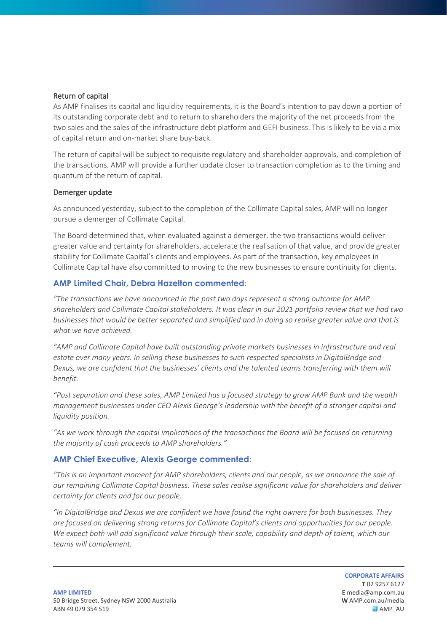### Return of capital

As AMP finalises its capital and liquidity requirements, it is the Board's intention to pay down a portion of its outstanding corporate debt and to return to shareholders the majority of the net proceeds from the two sales and the sales of the infrastructure debt platform and GEFI business. This is likely to be via a mix of capital return and on-market share buy-back.

The return of capital will be subject to requisite regulatory and shareholder approvals, and completion of the transactions. AMP will provide a further update closer to transaction completion as to the timing and quantum of the return of capital.

### Demerger update

As announced yesterday, subject to the completion of the Collimate Capital sales, AMP will no longer pursue a demerger of Collimate Capital.

The Board determined that, when evaluated against a demerger, the two transactions would deliver greater value and certainty for shareholders, accelerate the realisation of that value, and provide greater stability for Collimate Capital's clients and employees. As part of the transaction, key employees in Collimate Capital have also committed to moving to the new businesses to ensure continuity for clients.

### **AMP Limited Chair, Debra Hazelton commented**:

*"The transactions we have announced in the past two days represent a strong outcome for AMP shareholders and Collimate Capital stakeholders. It was clear in our 2021 portfolio review that we had two businesses that would be better separated and simplified and in doing so realise greater value and that is what we have achieved.*

*"AMP and Collimate Capital have built outstanding private markets businesses in infrastructure and real estate over many years. In selling these businesses to such respected specialists in DigitalBridge and Dexus, we are confident that the businesses' clients and the talented teams transferring with them will benefit.*

*"Post separation and these sales, AMP Limited has a focused strategy to grow AMP Bank and the wealth management businesses under CEO Alexis George's leadership with the benefit of a stronger capital and liquidity position.*

*"As we work through the capital implications of the transactions the Board will be focused on returning the majority of cash proceeds to AMP shareholders."* 

### **AMP Chief Executive, Alexis George commented**:

*"This is an important moment for AMP shareholders, clients and our people, as we announce the sale of our remaining Collimate Capital business. These sales realise significant value for shareholders and deliver certainty for clients and for our people.*

*"In DigitalBridge and Dexus we are confident we have found the right owners for both businesses. They are focused on delivering strong returns for Collimate Capital's clients and opportunities for our people. We expect both will add significant value through their scale, capability and depth of talent, which our teams will complement.*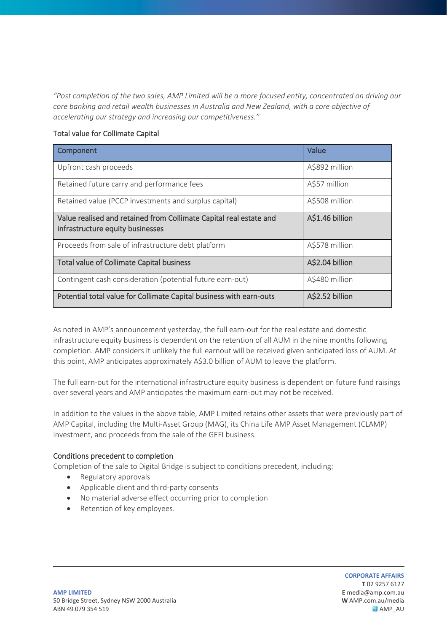*"Post completion of the two sales, AMP Limited will be a more focused entity, concentrated on driving our core banking and retail wealth businesses in Australia and New Zealand, with a core objective of accelerating our strategy and increasing our competitiveness."*

### Total value for Collimate Capital

| Component                                                                                              | Value           |
|--------------------------------------------------------------------------------------------------------|-----------------|
| Upfront cash proceeds                                                                                  | A\$892 million  |
| Retained future carry and performance fees                                                             | A\$57 million   |
| Retained value (PCCP investments and surplus capital)                                                  | A\$508 million  |
| Value realised and retained from Collimate Capital real estate and<br>infrastructure equity businesses | A\$1.46 billion |
| Proceeds from sale of infrastructure debt platform                                                     | A\$578 million  |
| <b>Total value of Collimate Capital business</b>                                                       | A\$2.04 billion |
| Contingent cash consideration (potential future earn-out)                                              | A\$480 million  |
| Potential total value for Collimate Capital business with earn-outs                                    | A\$2.52 billion |

As noted in AMP's announcement yesterday, the full earn-out for the real estate and domestic infrastructure equity business is dependent on the retention of all AUM in the nine months following completion. AMP considers it unlikely the full earnout will be received given anticipated loss of AUM. At this point, AMP anticipates approximately A\$3.0 billion of AUM to leave the platform.

The full earn-out for the international infrastructure equity business is dependent on future fund raisings over several years and AMP anticipates the maximum earn-out may not be received.

In addition to the values in the above table, AMP Limited retains other assets that were previously part of AMP Capital, including the Multi-Asset Group (MAG), its China Life AMP Asset Management (CLAMP) investment, and proceeds from the sale of the GEFI business.

### Conditions precedent to completion

Completion of the sale to Digital Bridge is subject to conditions precedent, including:

- Regulatory approvals
- Applicable client and third-party consents
- No material adverse effect occurring prior to completion
- Retention of key employees.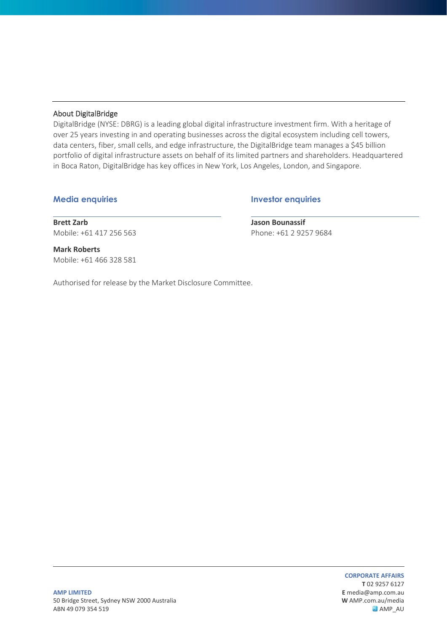### About DigitalBridge

DigitalBridge (NYSE: DBRG) is a leading global digital infrastructure investment firm. With a heritage of over 25 years investing in and operating businesses across the digital ecosystem including cell towers, data centers, fiber, small cells, and edge infrastructure, the DigitalBridge team manages a \$45 billion portfolio of digital infrastructure assets on behalf of its limited partners and shareholders. Headquartered in Boca Raton, DigitalBridge has key offices in New York, Los Angeles, London, and Singapore.

**Media enquiries Investor enquiries**

**Brett Zarb**  Mobile: +61 417 256 563 **Jason Bounassif**  Phone: +61 2 9257 9684

**Mark Roberts** Mobile: +61 466 328 581

Authorised for release by the Market Disclosure Committee.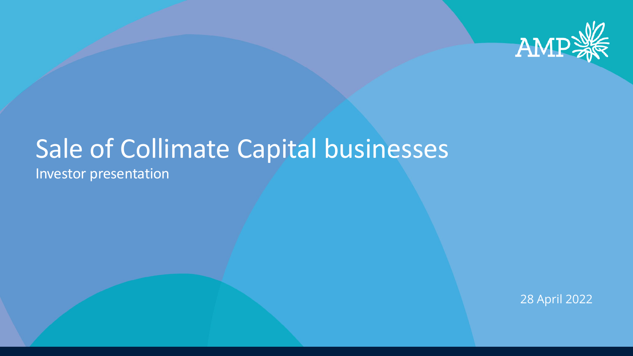

## Sale of Collimate Capital businesses Investor presentation

28 April 2022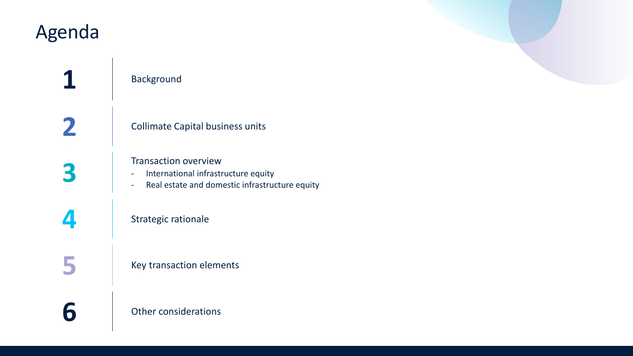## Agenda

## **1** Background

**2** Collimate Capital business units

# **3** Transaction overview<br>
- International infrastr<br>
- Real estate and dom

- International infrastructure equity
- Real estate and domestic infrastructure equity

## **4** Strategic rationale

**5** Key transaction elements

**6** Other considerations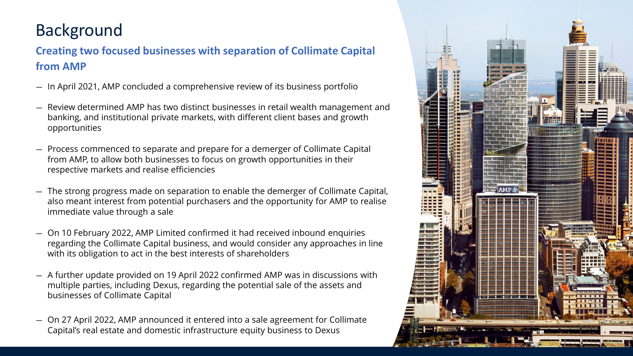## Background

## **Creating two focused businesses with separation of Collimate Capital from AMP**

- In April 2021, AMP concluded a comprehensive review of its business portfolio
- Review determined AMP has two distinct businesses in retail wealth management and banking, and institutional private markets, with different client bases and growth opportunities
- Process commenced to separate and prepare for a demerger of Collimate Capital from AMP, to allow both businesses to focus on growth opportunities in their respective markets and realise efficiencies
- The strong progress made on separation to enable the demerger of Collimate Capital, also meant interest from potential purchasers and the opportunity for AMP to realise immediate value through a sale
- On 10 February 2022, AMP Limited confirmed it had received inbound enquiries regarding the Collimate Capital business, and would consider any approaches in line with its obligation to act in the best interests of shareholders
- A further update provided on 19 April 2022 confirmed AMP was in discussions with multiple parties, including Dexus, regarding the potential sale of the assets and businesses of Collimate Capital
- On 27 April 2022, AMP announced it entered into a sale agreement for Collimate Capital's real estate and domestic infrastructure equity business to Dexus

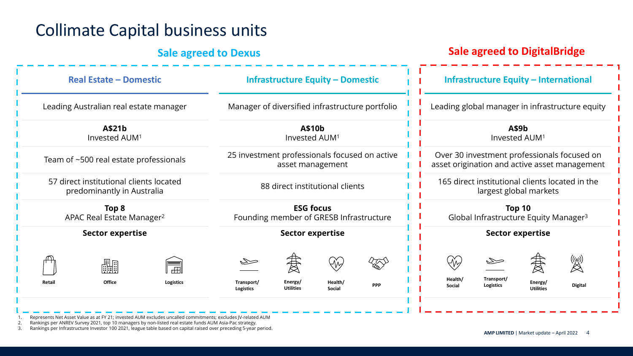## Collimate Capital business units

## **Sale agreed to Dexus Sale agreed to DigitalBridge**

| <b>Real Estate - Domestic</b>                                         | <b>Infrastructure Equity - Domestic</b>                                                                        | <b>Infrastructure Equity - International</b>                                                                              |  |
|-----------------------------------------------------------------------|----------------------------------------------------------------------------------------------------------------|---------------------------------------------------------------------------------------------------------------------------|--|
| Leading Australian real estate manager                                | Manager of diversified infrastructure portfolio                                                                | Leading global manager in infrastructure equity                                                                           |  |
| A\$21b<br>Invested AUM <sup>1</sup>                                   | A\$10b<br>Invested AUM <sup>1</sup>                                                                            | A\$9b<br>Invested AUM <sup>1</sup>                                                                                        |  |
| Team of ~500 real estate professionals                                | 25 investment professionals focused on active<br>asset management                                              | Over 30 investment professionals focused on<br>asset origination and active asset management                              |  |
| 57 direct institutional clients located<br>predominantly in Australia | 88 direct institutional clients                                                                                | 165 direct institutional clients located in the<br>largest global markets                                                 |  |
| Top 8<br>APAC Real Estate Manager <sup>2</sup>                        | <b>ESG focus</b><br>Founding member of GRESB Infrastructure                                                    | Top 10<br>Global Infrastructure Equity Manager <sup>3</sup>                                                               |  |
| <b>Sector expertise</b>                                               | <b>Sector expertise</b>                                                                                        | <b>Sector expertise</b>                                                                                                   |  |
| H<br>Office<br>Retail<br><b>Logistics</b>                             | 君<br>475\$<br>Health/<br>Transport/<br>Energy/<br><b>PPP</b><br><b>Utilities</b><br>Social<br><b>Logistics</b> | ((y))<br> X<br>$\%$<br>君<br>Health/<br>Transport/<br>Energy/<br><b>Digital</b><br>Logistics<br>Social<br><b>Utilities</b> |  |
|                                                                       |                                                                                                                |                                                                                                                           |  |

1. Represents Net Asset Value as at FY 21; invested AUM excludes uncalled commitments; excludes JV-related AUM<br>2. Rankings per ANREV Survey 2021, top 10 managers by non-listed real estate funds AUM Asia-Pac strategy.

2. Rankings per ANREV Survey 2021, top 10 managers by non-listed real estate funds AUM Asia-Pac strategy.

3. Rankings per Infrastructure Investor 100 2021, league table based on capital raised over preceding 5-year period.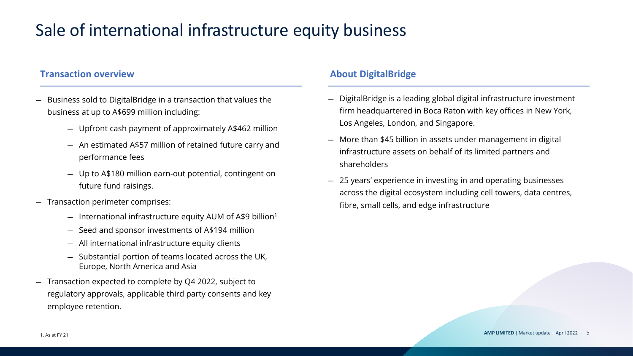## Sale of international infrastructure equity business

## **Transaction overview About DigitalBridge**

- Business sold to DigitalBridge in a transaction that values the business at up to A\$699 million including:
	- Upfront cash payment of approximately A\$462 million
	- An estimated A\$57 million of retained future carry and performance fees
	- Up to A\$180 million earn-out potential, contingent on future fund raisings.
- Transaction perimeter comprises:
	- $-$  International infrastructure equity AUM of A\$9 billion<sup>1</sup>
	- Seed and sponsor investments of A\$194 million
	- All international infrastructure equity clients
	- Substantial portion of teams located across the UK, Europe, North America and Asia
- Transaction expected to complete by Q4 2022, subject to regulatory approvals, applicable third party consents and key employee retention.

- DigitalBridge is a leading global digital infrastructure investment firm headquartered in Boca Raton with key offices in New York, Los Angeles, London, and Singapore.
- More than \$45 billion in assets under management in digital infrastructure assets on behalf of its limited partners and shareholders
- 25 years' experience in investing in and operating businesses across the digital ecosystem including cell towers, data centres, fibre, small cells, and edge infrastructure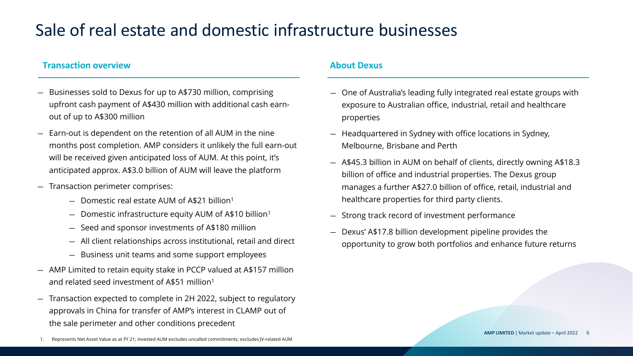## Sale of real estate and domestic infrastructure businesses

## **Transaction overview About Dexus About Dexus**

- Businesses sold to Dexus for up to A\$730 million, comprising upfront cash payment of A\$430 million with additional cash earnout of up to A\$300 million
- Earn-out is dependent on the retention of all AUM in the nine months post completion. AMP considers it unlikely the full earn-out will be received given anticipated loss of AUM. At this point, it's anticipated approx. A\$3.0 billion of AUM will leave the platform
- Transaction perimeter comprises:
	- Domestic real estate AUM of A\$21 billion1
	- Domestic infrastructure equity AUM of A\$10 billion1
	- Seed and sponsor investments of A\$180 million
	- All client relationships across institutional, retail and direct
	- Business unit teams and some support employees
- AMP Limited to retain equity stake in PCCP valued at A\$157 million and related seed investment of A\$51 million1
- Transaction expected to complete in 2H 2022, subject to regulatory approvals in China for transfer of AMP's interest in CLAMP out of the sale perimeter and other conditions precedent

- One of Australia's leading fully integrated real estate groups with exposure to Australian office, industrial, retail and healthcare properties
- Headquartered in Sydney with office locations in Sydney, Melbourne, Brisbane and Perth
- A\$45.3 billion in AUM on behalf of clients, directly owning A\$18.3 billion of office and industrial properties. The Dexus group manages a further A\$27.0 billion of office, retail, industrial and healthcare properties for third party clients.
- Strong track record of investment performance
- Dexus' A\$17.8 billion development pipeline provides the opportunity to grow both portfolios and enhance future returns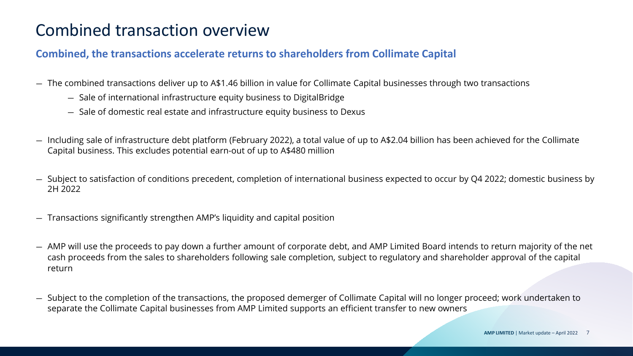## Combined transaction overview

## **Combined, the transactions accelerate returns to shareholders from Collimate Capital**

- The combined transactions deliver up to A\$1.46 billion in value for Collimate Capital businesses through two transactions
	- Sale of international infrastructure equity business to DigitalBridge
	- Sale of domestic real estate and infrastructure equity business to Dexus
- Including sale of infrastructure debt platform (February 2022), a total value of up to A\$2.04 billion has been achieved for the Collimate Capital business. This excludes potential earn-out of up to A\$480 million
- Subject to satisfaction of conditions precedent, completion of international business expected to occur by Q4 2022; domestic business by 2H 2022
- Transactions significantly strengthen AMP's liquidity and capital position
- AMP will use the proceeds to pay down a further amount of corporate debt, and AMP Limited Board intends to return majority of the net cash proceeds from the sales to shareholders following sale completion, subject to regulatory and shareholder approval of the capital return
- Subject to the completion of the transactions, the proposed demerger of Collimate Capital will no longer proceed; work undertaken to separate the Collimate Capital businesses from AMP Limited supports an efficient transfer to new owners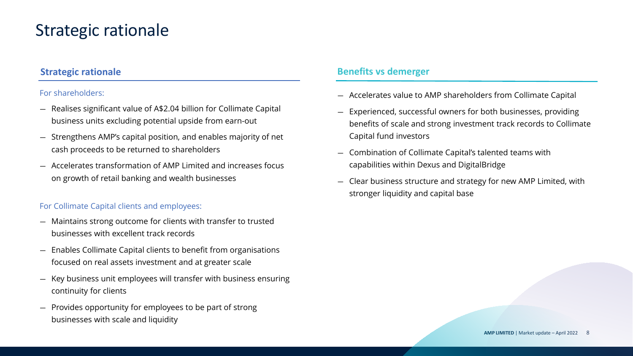## Strategic rationale

## **Strategic rationale**

## For shareholders:

- Realises significant value of A\$2.04 billion for Collimate Capital business units excluding potential upside from earn-out
- Strengthens AMP's capital position, and enables majority of net cash proceeds to be returned to shareholders
- Accelerates transformation of AMP Limited and increases focus on growth of retail banking and wealth businesses

### For Collimate Capital clients and employees:

- Maintains strong outcome for clients with transfer to trusted businesses with excellent track records
- Enables Collimate Capital clients to benefit from organisations focused on real assets investment and at greater scale
- Key business unit employees will transfer with business ensuring continuity for clients
- Provides opportunity for employees to be part of strong businesses with scale and liquidity

## **Benefits vs demerger**

- Accelerates value to AMP shareholders from Collimate Capital
- Experienced, successful owners for both businesses, providing benefits of scale and strong investment track records to Collimate Capital fund investors
- Combination of Collimate Capital's talented teams with capabilities within Dexus and DigitalBridge
- Clear business structure and strategy for new AMP Limited, with stronger liquidity and capital base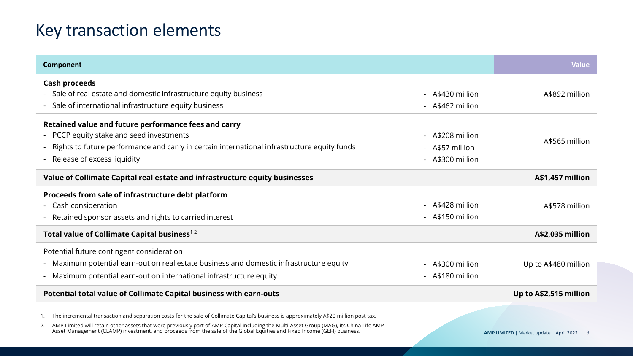## Key transaction elements

| Component                                                                                                                                                                                                                                                                 |                  | <b>Value</b>                                      |
|---------------------------------------------------------------------------------------------------------------------------------------------------------------------------------------------------------------------------------------------------------------------------|------------------|---------------------------------------------------|
| <b>Cash proceeds</b>                                                                                                                                                                                                                                                      |                  |                                                   |
| - Sale of real estate and domestic infrastructure equity business                                                                                                                                                                                                         | - A\$430 million | A\$892 million                                    |
| - Sale of international infrastructure equity business                                                                                                                                                                                                                    | - A\$462 million |                                                   |
| Retained value and future performance fees and carry                                                                                                                                                                                                                      |                  |                                                   |
| - PCCP equity stake and seed investments                                                                                                                                                                                                                                  | - A\$208 million |                                                   |
| Rights to future performance and carry in certain international infrastructure equity funds                                                                                                                                                                               | - A\$57 million  | A\$565 million                                    |
| Release of excess liquidity                                                                                                                                                                                                                                               | - A\$300 million |                                                   |
| Value of Collimate Capital real estate and infrastructure equity businesses                                                                                                                                                                                               |                  | A\$1,457 million                                  |
| Proceeds from sale of infrastructure debt platform                                                                                                                                                                                                                        |                  |                                                   |
| - Cash consideration                                                                                                                                                                                                                                                      | - A\$428 million | A\$578 million                                    |
| Retained sponsor assets and rights to carried interest                                                                                                                                                                                                                    | - A\$150 million |                                                   |
| Total value of Collimate Capital business <sup>12</sup>                                                                                                                                                                                                                   |                  | A\$2,035 million                                  |
| Potential future contingent consideration                                                                                                                                                                                                                                 |                  |                                                   |
| - Maximum potential earn-out on real estate business and domestic infrastructure equity                                                                                                                                                                                   | - A\$300 million | Up to A\$480 million                              |
| - Maximum potential earn-out on international infrastructure equity                                                                                                                                                                                                       | - A\$180 million |                                                   |
| Potential total value of Collimate Capital business with earn-outs                                                                                                                                                                                                        |                  | Up to A\$2,515 million                            |
| The incremental transaction and separation costs for the sale of Collimate Capital's business is approximately A\$20 million post tax.                                                                                                                                    |                  |                                                   |
| AMP Limited will retain other assets that were previously part of AMP Capital including the Multi-Asset Group (MAG), its China Life AMP<br>2.<br>Asset Management (CLAMP) investment, and proceeds from the sale of the Global Equities and Fixed Income (GEFI) business. |                  | <b>AMP LIMITED</b>   Market update - April 2022 9 |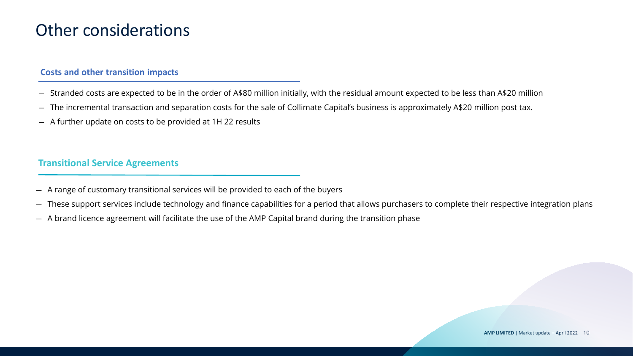## Other considerations

### **Costs and other transition impacts**

- Stranded costs are expected to be in the order of A\$80 million initially, with the residual amount expected to be less than A\$20 million
- The incremental transaction and separation costs for the sale of Collimate Capital's business is approximately A\$20 million post tax.
- A further update on costs to be provided at 1H 22 results

## **Transitional Service Agreements**

- A range of customary transitional services will be provided to each of the buyers
- These support services include technology and finance capabilities for a period that allows purchasers to complete their respective integration plans
- A brand licence agreement will facilitate the use of the AMP Capital brand during the transition phase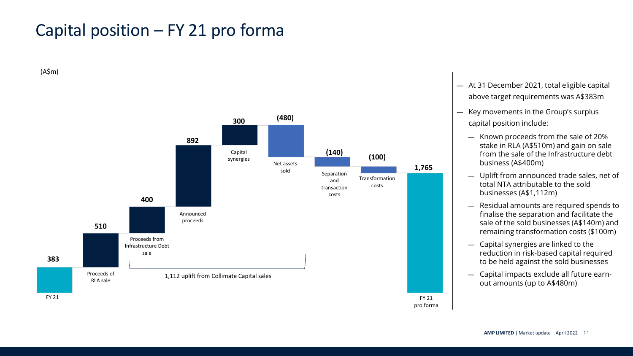## Capital position – FY 21 pro forma

(A\$m)



- At 31 December 2021, total eligible capital above target requirements was A\$383m
- Key movements in the Group's surplus capital position include:
	- Known proceeds from the sale of 20% stake in RLA (A\$510m) and gain on sale from the sale of the Infrastructure debt business (A\$400m)
	- Uplift from announced trade sales, net of total NTA attributable to the sold businesses (A\$1,112m)
	- Residual amounts are required spends to finalise the separation and facilitate the sale of the sold businesses (A\$140m) and remaining transformation costs (\$100m)
	- Capital synergies are linked to the reduction in risk-based capital required to be held against the sold businesses
	- Capital impacts exclude all future earnout amounts (up to A\$480m)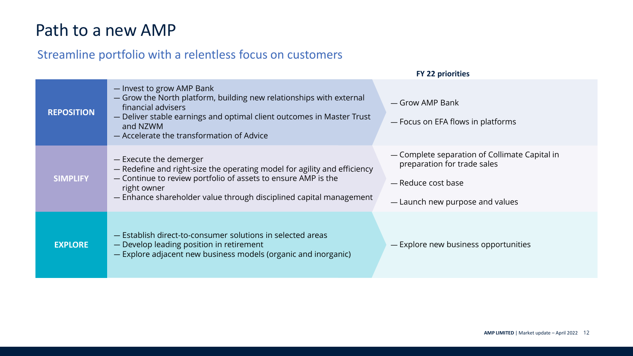## Path to a new AMP

## Streamline portfolio with a relentless focus on customers

|                   |                                                                                                                                                                                                                                                          | <b>FY 22 priorities</b>                                                                                                               |
|-------------------|----------------------------------------------------------------------------------------------------------------------------------------------------------------------------------------------------------------------------------------------------------|---------------------------------------------------------------------------------------------------------------------------------------|
| <b>REPOSITION</b> | - Invest to grow AMP Bank<br>- Grow the North platform, building new relationships with external<br>financial advisers<br>- Deliver stable earnings and optimal client outcomes in Master Trust<br>and NZWM<br>- Accelerate the transformation of Advice | — Grow AMP Bank<br>- Focus on EFA flows in platforms                                                                                  |
| <b>SIMPLIFY</b>   | - Execute the demerger<br>- Redefine and right-size the operating model for agility and efficiency<br>- Continue to review portfolio of assets to ensure AMP is the<br>right owner<br>- Enhance shareholder value through disciplined capital management | - Complete separation of Collimate Capital in<br>preparation for trade sales<br>— Reduce cost base<br>- Launch new purpose and values |
| <b>EXPLORE</b>    | - Establish direct-to-consumer solutions in selected areas<br>- Develop leading position in retirement<br>- Explore adjacent new business models (organic and inorganic)                                                                                 | - Explore new business opportunities                                                                                                  |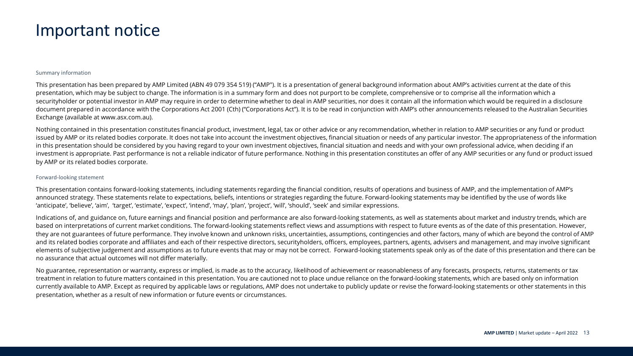## Important notice

### Summary information

This presentation has been prepared by AMP Limited (ABN 49 079 354 519) ("AMP"). It is a presentation of general background information about AMP's activities current at the date of this presentation, which may be subject to change. The information is in a summary form and does not purport to be complete, comprehensive or to comprise all the information which a securityholder or potential investor in AMP may require in order to determine whether to deal in AMP securities, nor does it contain all the information which would be required in a disclosure document prepared in accordance with the Corporations Act 2001 (Cth) ("Corporations Act"). It is to be read in conjunction with AMP's other announcements released to the Australian Securities Exchange (available at www.asx.com.au).

Nothing contained in this presentation constitutes financial product, investment, legal, tax or other advice or any recommendation, whether in relation to AMP securities or any fund or product issued by AMP or its related bodies corporate. It does not take into account the investment objectives, financial situation or needs of any particular investor. The appropriateness of the information in this presentation should be considered by you having regard to your own investment objectives, financial situation and needs and with your own professional advice, when deciding if an investment is appropriate. Past performance is not a reliable indicator of future performance. Nothing in this presentation constitutes an offer of any AMP securities or any fund or product issued by AMP or its related bodies corporate.

### Forward-looking statement

This presentation contains forward-looking statements, including statements regarding the financial condition, results of operations and business of AMP, and the implementation of AMP's announced strategy. These statements relate to expectations, beliefs, intentions or strategies regarding the future. Forward-looking statements may be identified by the use of words like 'anticipate', 'believe', 'aim', 'target', 'estimate', 'expect', 'intend', 'may', 'plan', 'project', 'will', 'should', 'seek' and similar expressions.

Indications of, and guidance on, future earnings and financial position and performance are also forward-looking statements, as well as statements about market and industry trends, which are based on interpretations of current market conditions. The forward-looking statements reflect views and assumptions with respect to future events as of the date of this presentation. However, they are not guarantees of future performance. They involve known and unknown risks, uncertainties, assumptions, contingencies and other factors, many of which are beyond the control of AMP and its related bodies corporate and affiliates and each of their respective directors, securityholders, officers, employees, partners, agents, advisers and management, and may involve significant elements of subjective judgement and assumptions as to future events that may or may not be correct. Forward-looking statements speak only as of the date of this presentation and there can be no assurance that actual outcomes will not differ materially.

No guarantee, representation or warranty, express or implied, is made as to the accuracy, likelihood of achievement or reasonableness of any forecasts, prospects, returns, statements or tax treatment in relation to future matters contained in this presentation. You are cautioned not to place undue reliance on the forward-looking statements, which are based only on information currently available to AMP. Except as required by applicable laws or regulations, AMP does not undertake to publicly update or revise the forward-looking statements or other statements in this presentation, whether as a result of new information or future events or circumstances.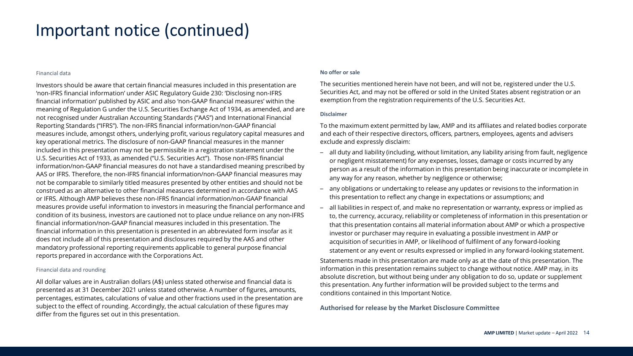## Important notice (continued)

### Financial data

Investors should be aware that certain financial measures included in this presentation are 'non-IFRS financial information' under ASIC Regulatory Guide 230: 'Disclosing non-IFRS financial information' published by ASIC and also 'non-GAAP financial measures' within the meaning of Regulation G under the U.S. Securities Exchange Act of 1934, as amended, and are not recognised under Australian Accounting Standards ("AAS") and International Financial Reporting Standards ("IFRS"). The non-IFRS financial information/non-GAAP financial measures include, amongst others, underlying profit, various regulatory capital measures and key operational metrics. The disclosure of non-GAAP financial measures in the manner included in this presentation may not be permissible in a registration statement under the U.S. Securities Act of 1933, as amended ("U.S. Securities Act"). Those non-IFRS financial information/non-GAAP financial measures do not have a standardised meaning prescribed by AAS or IFRS. Therefore, the non-IFRS financial information/non-GAAP financial measures may not be comparable to similarly titled measures presented by other entities and should not be construed as an alternative to other financial measures determined in accordance with AAS or IFRS. Although AMP believes these non-IFRS financial information/non-GAAP financial measures provide useful information to investors in measuring the financial performance and condition of its business, investors are cautioned not to place undue reliance on any non-IFRS financial information/non-GAAP financial measures included in this presentation. The financial information in this presentation is presented in an abbreviated form insofar as it does not include all of this presentation and disclosures required by the AAS and other mandatory professional reporting requirements applicable to general purpose financial reports prepared in accordance with the Corporations Act.

### Financial data and rounding

All dollar values are in Australian dollars (A\$) unless stated otherwise and financial data is presented as at 31 December 2021 unless stated otherwise. A number of figures, amounts, percentages, estimates, calculations of value and other fractions used in the presentation are subject to the effect of rounding. Accordingly, the actual calculation of these figures may differ from the figures set out in this presentation.

### **No offer or sale**

The securities mentioned herein have not been, and will not be, registered under the U.S. Securities Act, and may not be offered or sold in the United States absent registration or an exemption from the registration requirements of the U.S. Securities Act.

### **Disclaimer**

To the maximum extent permitted by law, AMP and its affiliates and related bodies corporate and each of their respective directors, officers, partners, employees, agents and advisers exclude and expressly disclaim:

- all duty and liability (including, without limitation, any liability arising from fault, negligence or negligent misstatement) for any expenses, losses, damage or costs incurred by any person as a result of the information in this presentation being inaccurate or incomplete in any way for any reason, whether by negligence or otherwise;
- any obligations or undertaking to release any updates or revisions to the information in this presentation to reflect any change in expectations or assumptions; and
- all liabilities in respect of, and make no representation or warranty, express or implied as to, the currency, accuracy, reliability or completeness of information in this presentation or that this presentation contains all material information about AMP or which a prospective investor or purchaser may require in evaluating a possible investment in AMP or acquisition of securities in AMP, or likelihood of fulfilment of any forward-looking statement or any event or results expressed or implied in any forward-looking statement.

Statements made in this presentation are made only as at the date of this presentation. The information in this presentation remains subject to change without notice. AMP may, in its absolute discretion, but without being under any obligation to do so, update or supplement this presentation. Any further information will be provided subject to the terms and conditions contained in this Important Notice.

**Authorised for release by the Market Disclosure Committee**